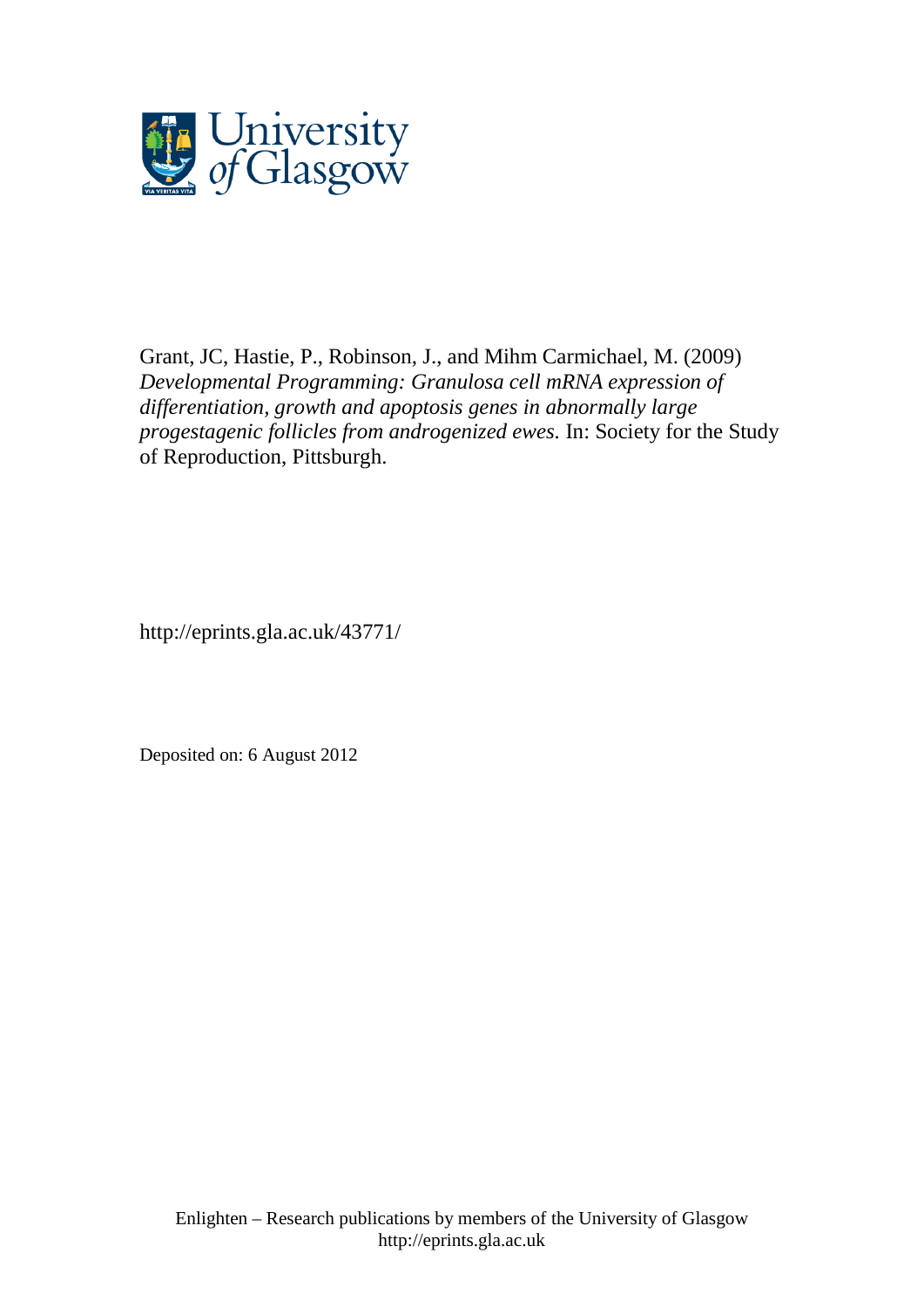

Grant, JC, Hastie, P., Robinson, J., and Mihm Carmichael, M. (2009) *Developmental Programming: Granulosa cell mRNA expression of differentiation, growth and apoptosis genes in abnormally large progestagenic follicles from androgenized ewes.* In: Society for the Study of Reproduction, Pittsburgh.

http://eprints.gla.ac.uk/43771/

Deposited on: 6 August 2012